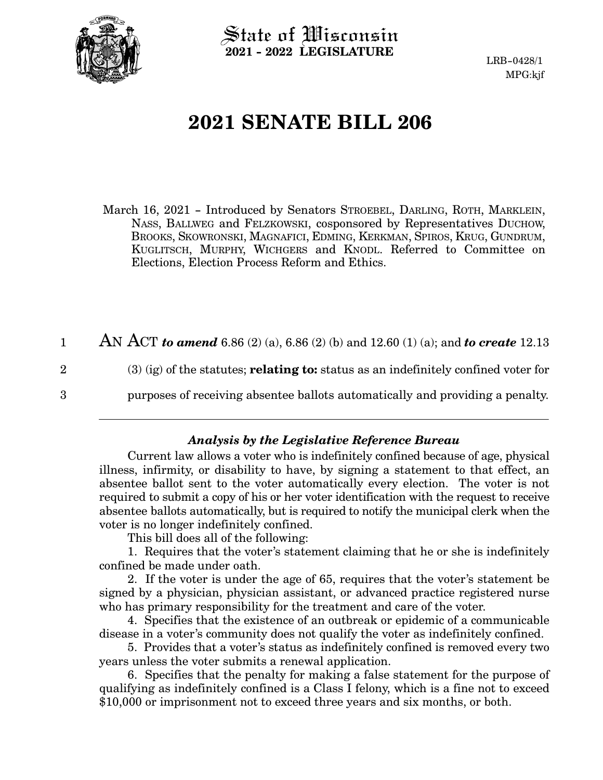

State of Wisconsin **2021 - 2022 LEGISLATURE**

LRB-0428/1 MPG:kjf

# **2021 SENATE BILL 206**

March 16, 2021 - Introduced by Senators STROEBEL, DARLING, ROTH, MARKLEIN, NASS, BALLWEG and FELZKOWSKI, cosponsored by Representatives DUCHOW, BROOKS, SKOWRONSKI, MAGNAFICI, EDMING, KERKMAN, SPIROS, KRUG, GUNDRUM, KUGLITSCH, MURPHY, WICHGERS and KNODL. Referred to Committee on Elections, Election Process Reform and Ethics.

AN ACT *to amend* 6.86 (2) (a), 6.86 (2) (b) and 12.60 (1) (a); and *to create* 12.13 (3) (ig) of the statutes; **relating to:** status as an indefinitely confined voter for purposes of receiving absentee ballots automatically and providing a penalty. 1 2 3

### *Analysis by the Legislative Reference Bureau*

Current law allows a voter who is indefinitely confined because of age, physical illness, infirmity, or disability to have, by signing a statement to that effect, an absentee ballot sent to the voter automatically every election. The voter is not required to submit a copy of his or her voter identification with the request to receive absentee ballots automatically, but is required to notify the municipal clerk when the voter is no longer indefinitely confined.

This bill does all of the following:

1. Requires that the voter's statement claiming that he or she is indefinitely confined be made under oath.

2. If the voter is under the age of 65, requires that the voter's statement be signed by a physician, physician assistant, or advanced practice registered nurse who has primary responsibility for the treatment and care of the voter.

4. Specifies that the existence of an outbreak or epidemic of a communicable disease in a voter's community does not qualify the voter as indefinitely confined.

5. Provides that a voter's status as indefinitely confined is removed every two years unless the voter submits a renewal application.

6. Specifies that the penalty for making a false statement for the purpose of qualifying as indefinitely confined is a Class I felony, which is a fine not to exceed \$10,000 or imprisonment not to exceed three years and six months, or both.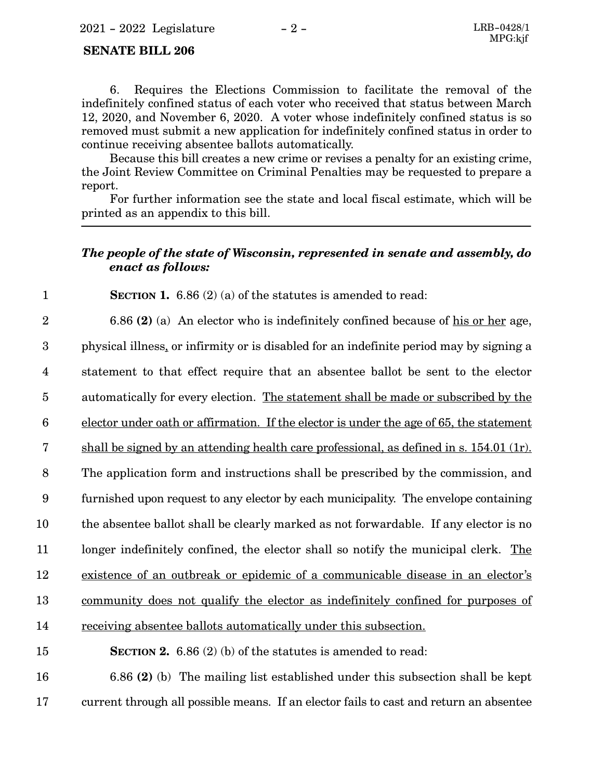#### **SENATE BILL 206**

1

11

6. Requires the Elections Commission to facilitate the removal of the indefinitely confined status of each voter who received that status between March 12, 2020, and November 6, 2020. A voter whose indefinitely confined status is so removed must submit a new application for indefinitely confined status in order to continue receiving absentee ballots automatically.

Because this bill creates a new crime or revises a penalty for an existing crime, the Joint Review Committee on Criminal Penalties may be requested to prepare a report.

For further information see the state and local fiscal estimate, which will be printed as an appendix to this bill.

### *The people of the state of Wisconsin, represented in senate and assembly, do enact as follows:*

**SECTION 1.** 6.86 (2) (a) of the statutes is amended to read:

6.86 **(2)** (a) An elector who is indefinitely confined because of his or her age, 2

physical illness, or infirmity or is disabled for an indefinite period may by signing a 3

statement to that effect require that an absentee ballot be sent to the elector 4

automatically for every election. The statement shall be made or subscribed by the 5

elector under oath or affirmation. If the elector is under the age of 65, the statement 6

shall be signed by an attending health care professional, as defined in s. 154.01 (1r). 7

The application form and instructions shall be prescribed by the commission, and 8

furnished upon request to any elector by each municipality. The envelope containing 9

the absentee ballot shall be clearly marked as not forwardable. If any elector is no 10

longer indefinitely confined, the elector shall so notify the municipal clerk. The

existence of an outbreak or epidemic of a communicable disease in an elector's 12

community does not qualify the elector as indefinitely confined for purposes of 13

receiving absentee ballots automatically under this subsection. 14

**SECTION 2.** 6.86 (2) (b) of the statutes is amended to read: 15

6.86 **(2)** (b) The mailing list established under this subsection shall be kept current through all possible means. If an elector fails to cast and return an absentee 16 17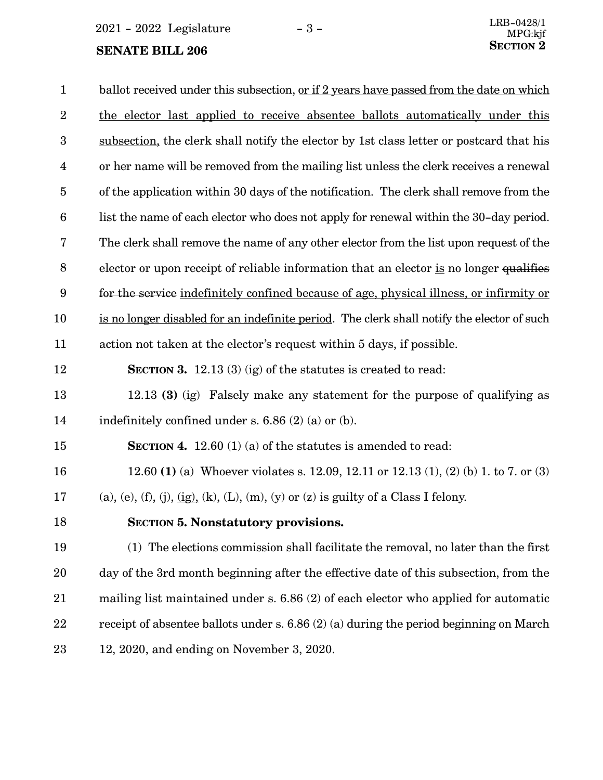2021 - 2022 Legislature - 3 -

## **SENATE BILL 206**

<span id="page-2-0"></span>

| $\mathbf{1}$            | ballot received under this subsection, or if 2 years have passed from the date on which    |
|-------------------------|--------------------------------------------------------------------------------------------|
| $\overline{2}$          | the elector last applied to receive absentee ballots automatically under this              |
| 3                       | subsection, the clerk shall notify the elector by 1st class letter or postcard that his    |
| $\overline{\mathbf{4}}$ | or her name will be removed from the mailing list unless the clerk receives a renewal      |
| $\overline{5}$          | of the application within 30 days of the notification. The clerk shall remove from the     |
| $6\phantom{.}6$         | list the name of each elector who does not apply for renewal within the 30-day period.     |
| 7                       | The clerk shall remove the name of any other elector from the list upon request of the     |
| 8                       | elector or upon receipt of reliable information that an elector is no longer qualifies     |
| $\boldsymbol{9}$        | for the service indefinitely confined because of age, physical illness, or infirmity or    |
| 10                      | is no longer disabled for an indefinite period. The clerk shall notify the elector of such |
| 11                      | action not taken at the elector's request within 5 days, if possible.                      |
| 12                      | <b>SECTION 3.</b> 12.13 (3) (ig) of the statutes is created to read:                       |
| 13                      | 12.13 (3) (ig) Falsely make any statement for the purpose of qualifying as                 |
| 14                      | indefinitely confined under s. $6.86$ (2) (a) or (b).                                      |
| 15                      | <b>SECTION 4.</b> 12.60 (1) (a) of the statutes is amended to read:                        |
| 16                      | 12.60 (1) (a) Whoever violates s. 12.09, 12.11 or 12.13 (1), (2) (b) 1. to 7. or (3)       |
| 17                      | (a), (e), (f), (j), $(ig)$ , (k), (L), (m), (y) or (z) is guilty of a Class I felony.      |
| 18                      | <b>SECTION 5. Nonstatutory provisions.</b>                                                 |
| 19                      | (1) The elections commission shall facilitate the removal, no later than the first         |
| 20                      | day of the 3rd month beginning after the effective date of this subsection, from the       |
| $21\,$                  | mailing list maintained under s. $6.86(2)$ of each elector who applied for automatic       |
| 22                      | receipt of absentee ballots under s. $6.86(2)$ (a) during the period beginning on March    |
| $23\,$                  | $12, 2020,$ and ending on November 3, 2020.                                                |